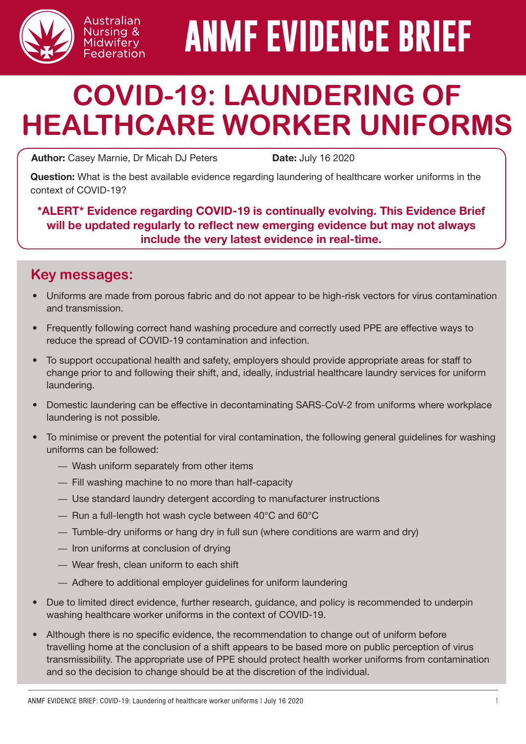

# **ANMF EVIDENCE BRIEF**

# **COVID-19: LAUNDERING OF HEALTHCARE WORKER UNIFORMS**

Author: Casey Marnie, Dr Micah DJ Peters Date: July 16 2020

Australian Nursing & Midwifery Federation

Question: What is the best available evidence regarding laundering of healthcare worker uniforms in the context of COVID-19?

#### \*ALERT\* Evidence regarding COVID-19 is continually evolving. This Evidence Brief will be updated regularly to reflect new emerging evidence but may not always include the very latest evidence in real-time.

## **Key messages:**

- Uniforms are made from porous fabric and do not appear to be high-risk vectors for virus contamination and transmission.
- Frequently following correct hand washing procedure and correctly used PPE are effective ways to reduce the spread of COVID-19 contamination and infection.
- To support occupational health and safety, employers should provide appropriate areas for staff to change prior to and following their shift, and, ideally, industrial healthcare laundry services for uniform laundering.
- Domestic laundering can be effective in decontaminating SARS-CoV-2 from uniforms where workplace laundering is not possible.
- To minimise or prevent the potential for viral contamination, the following general guidelines for washing uniforms can be followed:
	- Wash uniform separately from other items
	- Fill washing machine to no more than half-capacity
	- Use standard laundry detergent according to manufacturer instructions
	- $-$  Run a full-length hot wash cycle between 40 $\degree$ C and 60 $\degree$ C
	- Tumble-dry uniforms or hang dry in full sun (where conditions are warm and dry)
	- Iron uniforms at conclusion of drying
	- Wear fresh, clean uniform to each shift
	- Adhere to additional employer guidelines for uniform laundering
- Due to limited direct evidence, further research, guidance, and policy is recommended to underpin washing healthcare worker uniforms in the context of COVID-19.
- Although there is no specific evidence, the recommendation to change out of uniform before travelling home at the conclusion of a shift appears to be based more on public perception of virus transmissibility. The appropriate use of PPE should protect health worker uniforms from contamination and so the decision to change should be at the discretion of the individual.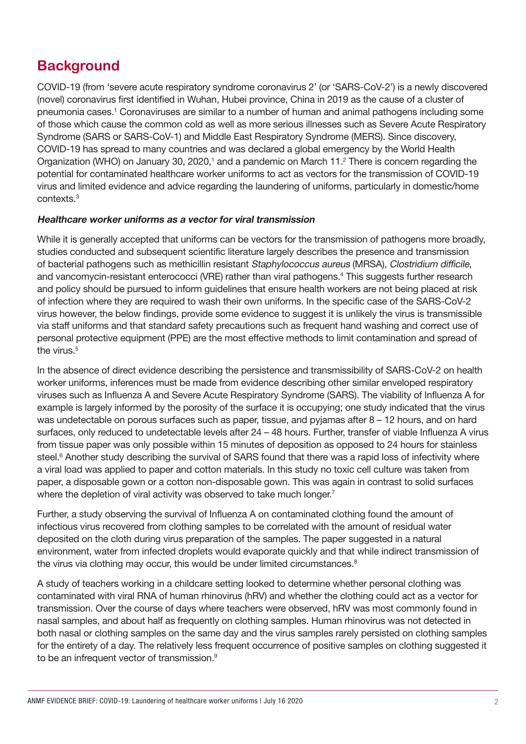# **Background**

COVID-19 (from 'severe acute respiratory syndrome coronavirus 2' (or 'SARS-CoV-2') is a newly discovered (novel) coronavirus first identified in Wuhan, Hubei province, China in 2019 as the cause of a cluster of pneumonia cases.<sup>1</sup> Coronaviruses are similar to a number of human and animal pathogens including some of those which cause the common cold as well as more serious illnesses such as Severe Acute Respiratory Syndrome (SARS or SARS-CoV-1) and Middle East Respiratory Syndrome (MERS). Since discovery, COVID-19 has spread to many countries and was declared a global emergency by the World Health Organization (WHO) on January 30, 2020,<sup>1</sup> and a pandemic on March 11.<sup>2</sup> There is concern regarding the potential for contaminated healthcare worker uniforms to act as vectors for the transmission of COVID-19 virus and limited evidence and advice regarding the laundering of uniforms, particularly in domestic/home contexts.3

#### Healthcare worker uniforms as a vector for viral transmission

While it is generally accepted that uniforms can be vectors for the transmission of pathogens more broadly, studies conducted and subsequent scientific literature largely describes the presence and transmission of bacterial pathogens such as methicillin resistant Staphylococcus aureus (MRSA), Clostridium difficile, and vancomycin-resistant enterococci (VRE) rather than viral pathogens.<sup>4</sup> This suggests further research and policy should be pursued to inform guidelines that ensure health workers are not being placed at risk of infection where they are required to wash their own uniforms. In the specific case of the SARS-CoV-2 virus however, the below findings, provide some evidence to suggest it is unlikely the virus is transmissible via staff uniforms and that standard safety precautions such as frequent hand washing and correct use of personal protective equipment (PPE) are the most effective methods to limit contamination and spread of the virus.<sup>5</sup>

In the absence of direct evidence describing the persistence and transmissibility of SARS-CoV-2 on health worker uniforms, inferences must be made from evidence describing other similar enveloped respiratory viruses such as Influenza A and Severe Acute Respiratory Syndrome (SARS). The viability of Influenza A for example is largely informed by the porosity of the surface it is occupying; one study indicated that the virus was undetectable on porous surfaces such as paper, tissue, and pyjamas after 8 – 12 hours, and on hard surfaces, only reduced to undetectable levels after 24 – 48 hours. Further, transfer of viable Influenza A virus from tissue paper was only possible within 15 minutes of deposition as opposed to 24 hours for stainless steel.<sup>6</sup> Another study describing the survival of SARS found that there was a rapid loss of infectivity where a viral load was applied to paper and cotton materials. In this study no toxic cell culture was taken from paper, a disposable gown or a cotton non-disposable gown. This was again in contrast to solid surfaces where the depletion of viral activity was observed to take much longer.<sup>7</sup>

Further, a study observing the survival of Influenza A on contaminated clothing found the amount of infectious virus recovered from clothing samples to be correlated with the amount of residual water deposited on the cloth during virus preparation of the samples. The paper suggested in a natural environment, water from infected droplets would evaporate quickly and that while indirect transmission of the virus via clothing may occur, this would be under limited circumstances.<sup>8</sup>

A study of teachers working in a childcare setting looked to determine whether personal clothing was contaminated with viral RNA of human rhinovirus (hRV) and whether the clothing could act as a vector for transmission. Over the course of days where teachers were observed, hRV was most commonly found in nasal samples, and about half as frequently on clothing samples. Human rhinovirus was not detected in both nasal or clothing samples on the same day and the virus samples rarely persisted on clothing samples for the entirety of a day. The relatively less frequent occurrence of positive samples on clothing suggested it to be an infrequent vector of transmission.<sup>9</sup>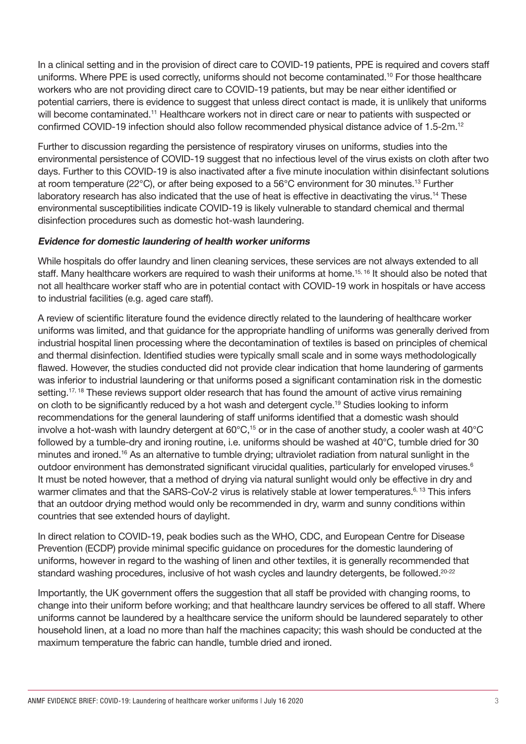In a clinical setting and in the provision of direct care to COVID-19 patients, PPE is required and covers staff uniforms. Where PPE is used correctly, uniforms should not become contaminated.<sup>10</sup> For those healthcare workers who are not providing direct care to COVID-19 patients, but may be near either identified or potential carriers, there is evidence to suggest that unless direct contact is made, it is unlikely that uniforms will become contaminated.<sup>11</sup> Healthcare workers not in direct care or near to patients with suspected or confirmed COVID-19 infection should also follow recommended physical distance advice of 1.5-2m.12

Further to discussion regarding the persistence of respiratory viruses on uniforms, studies into the environmental persistence of COVID-19 suggest that no infectious level of the virus exists on cloth after two days. Further to this COVID-19 is also inactivated after a five minute inoculation within disinfectant solutions at room temperature (22°C), or after being exposed to a 56°C environment for 30 minutes.13 Further laboratory research has also indicated that the use of heat is effective in deactivating the virus.<sup>14</sup> These environmental susceptibilities indicate COVID-19 is likely vulnerable to standard chemical and thermal disinfection procedures such as domestic hot-wash laundering.

#### Evidence for domestic laundering of health worker uniforms

While hospitals do offer laundry and linen cleaning services, these services are not always extended to all staff. Many healthcare workers are required to wash their uniforms at home.<sup>15, 16</sup> It should also be noted that not all healthcare worker staff who are in potential contact with COVID-19 work in hospitals or have access to industrial facilities (e.g. aged care staff).

A review of scientific literature found the evidence directly related to the laundering of healthcare worker uniforms was limited, and that guidance for the appropriate handling of uniforms was generally derived from industrial hospital linen processing where the decontamination of textiles is based on principles of chemical and thermal disinfection. Identified studies were typically small scale and in some ways methodologically flawed. However, the studies conducted did not provide clear indication that home laundering of garments was inferior to industrial laundering or that uniforms posed a significant contamination risk in the domestic setting.<sup>17, 18</sup> These reviews support older research that has found the amount of active virus remaining on cloth to be significantly reduced by a hot wash and detergent cycle.19 Studies looking to inform recommendations for the general laundering of staff uniforms identified that a domestic wash should involve a hot-wash with laundry detergent at  $60^{\circ}$ C,<sup>15</sup> or in the case of another study, a cooler wash at  $40^{\circ}$ C followed by a tumble-dry and ironing routine, i.e. uniforms should be washed at 40°C, tumble dried for 30 minutes and ironed.16 As an alternative to tumble drying; ultraviolet radiation from natural sunlight in the outdoor environment has demonstrated significant virucidal qualities, particularly for enveloped viruses.<sup>6</sup> It must be noted however, that a method of drying via natural sunlight would only be effective in dry and warmer climates and that the SARS-CoV-2 virus is relatively stable at lower temperatures.<sup>6, 13</sup> This infers that an outdoor drying method would only be recommended in dry, warm and sunny conditions within countries that see extended hours of daylight.

In direct relation to COVID-19, peak bodies such as the WHO, CDC, and European Centre for Disease Prevention (ECDP) provide minimal specific guidance on procedures for the domestic laundering of uniforms, however in regard to the washing of linen and other textiles, it is generally recommended that standard washing procedures, inclusive of hot wash cycles and laundry detergents, be followed.<sup>20-22</sup>

Importantly, the UK government offers the suggestion that all staff be provided with changing rooms, to change into their uniform before working; and that healthcare laundry services be offered to all staff. Where uniforms cannot be laundered by a healthcare service the uniform should be laundered separately to other household linen, at a load no more than half the machines capacity; this wash should be conducted at the maximum temperature the fabric can handle, tumble dried and ironed.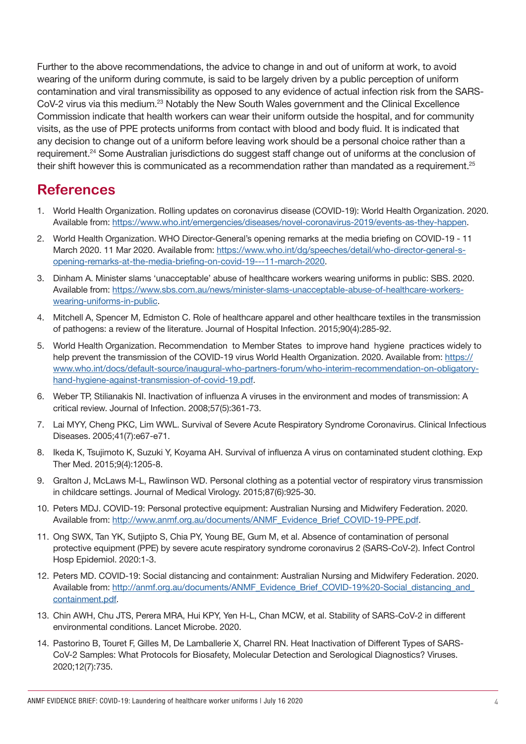Further to the above recommendations, the advice to change in and out of uniform at work, to avoid wearing of the uniform during commute, is said to be largely driven by a public perception of uniform contamination and viral transmissibility as opposed to any evidence of actual infection risk from the SARS-CoV-2 virus via this medium.<sup>23</sup> Notably the New South Wales government and the Clinical Excellence Commission indicate that health workers can wear their uniform outside the hospital, and for community visits, as the use of PPE protects uniforms from contact with blood and body fluid. It is indicated that any decision to change out of a uniform before leaving work should be a personal choice rather than a requirement.24 Some Australian jurisdictions do suggest staff change out of uniforms at the conclusion of their shift however this is communicated as a recommendation rather than mandated as a requirement.<sup>25</sup>

### **References**

- 1. World Health Organization. Rolling updates on coronavirus disease (COVID-19): World Health Organization. 2020. Available from:<https://www.who.int/emergencies/diseases/novel-coronavirus-2019/events-as-they-happen>.
- 2. World Health Organization. WHO Director-General's opening remarks at the media briefing on COVID-19 11 March 2020. 11 Mar 2020. Available from: [https://www.who.int/dg/speeches/detail/who-director-general-s](https://www.who.int/dg/speeches/detail/who-director-general-s-opening-remarks-at-the-media-briefing-on-covid-19---11-march-2020)[opening-remarks-at-the-media-briefing-on-covid-19---11-march-2020.](https://www.who.int/dg/speeches/detail/who-director-general-s-opening-remarks-at-the-media-briefing-on-covid-19---11-march-2020)
- 3. Dinham A. Minister slams 'unacceptable' abuse of healthcare workers wearing uniforms in public: SBS. 2020. Available from: [https://www.sbs.com.au/news/minister-slams-unacceptable-abuse-of-healthcare-workers](https://www.sbs.com.au/news/minister-slams-unacceptable-abuse-of-healthcare-workers-wearing-uniforms-in-public)[wearing-uniforms-in-public](https://www.sbs.com.au/news/minister-slams-unacceptable-abuse-of-healthcare-workers-wearing-uniforms-in-public).
- 4. Mitchell A, Spencer M, Edmiston C. Role of healthcare apparel and other healthcare textiles in the transmission of pathogens: a review of the literature. Journal of Hospital Infection. 2015;90(4):285-92.
- 5. World Health Organization. Recommendation to Member States to improve hand hygiene practices widely to help prevent the transmission of the COVID-19 virus World Health Organization. 2020. Available from: [https://](https://www.who.int/docs/default-source/inaugural-who-partners-forum/who-interim-recommendation-on-obligatory-hand-hygiene-against-transmission-of-covid-19.pdf) [www.who.int/docs/default-source/inaugural-who-partners-forum/who-interim-recommendation-on-obligatory](https://www.who.int/docs/default-source/inaugural-who-partners-forum/who-interim-recommendation-on-obligatory-hand-hygiene-against-transmission-of-covid-19.pdf)[hand-hygiene-against-transmission-of-covid-19.pdf.](https://www.who.int/docs/default-source/inaugural-who-partners-forum/who-interim-recommendation-on-obligatory-hand-hygiene-against-transmission-of-covid-19.pdf)
- 6. Weber TP, Stilianakis NI. Inactivation of influenza A viruses in the environment and modes of transmission: A critical review. Journal of Infection. 2008;57(5):361-73.
- 7. Lai MYY, Cheng PKC, Lim WWL. Survival of Severe Acute Respiratory Syndrome Coronavirus. Clinical Infectious Diseases. 2005;41(7):e67-e71.
- 8. Ikeda K, Tsujimoto K, Suzuki Y, Koyama AH. Survival of influenza A virus on contaminated student clothing. Exp Ther Med. 2015;9(4):1205-8.
- 9. Gralton J, McLaws M-L, Rawlinson WD. Personal clothing as a potential vector of respiratory virus transmission in childcare settings. Journal of Medical Virology. 2015;87(6):925-30.
- 10. Peters MDJ. COVID-19: Personal protective equipment: Australian Nursing and Midwifery Federation. 2020. Available from: [http://www.anmf.org.au/documents/ANMF\\_Evidence\\_Brief\\_COVID-19-PPE.pdf.](http://www.anmf.org.au/documents/ANMF_Evidence_Brief_COVID-19-PPE.pdf)
- 11. Ong SWX, Tan YK, Sutjipto S, Chia PY, Young BE, Gum M, et al. Absence of contamination of personal protective equipment (PPE) by severe acute respiratory syndrome coronavirus 2 (SARS-CoV-2). Infect Control Hosp Epidemiol. 2020:1-3.
- 12. Peters MD. COVID-19: Social distancing and containment: Australian Nursing and Midwifery Federation. 2020. Available from: http://anmf.org.au/documents/ANMF\_Evidence\_Brief\_COVID-19%20-Social\_distancing\_and [containment.pdf.](http://anmf.org.au/documents/ANMF_Evidence_Brief_COVID-19%20-Social_distancing_and_containment.pdf)
- 13. Chin AWH, Chu JTS, Perera MRA, Hui KPY, Yen H-L, Chan MCW, et al. Stability of SARS-CoV-2 in different environmental conditions. Lancet Microbe. 2020.
- 14. Pastorino B, Touret F, Gilles M, De Lamballerie X, Charrel RN. Heat Inactivation of Different Types of SARS-CoV-2 Samples: What Protocols for Biosafety, Molecular Detection and Serological Diagnostics? Viruses. 2020;12(7):735.